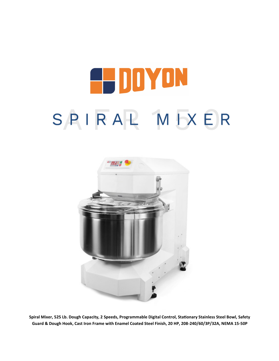# **HEDDYON** SPIRAL MIXER



**Spiral Mixer, 525 Lb. Dough Capacity, 2 Speeds, Programmable Digital Control, Stationary Stainless Steel Bowl, Safety Guard & Dough Hook, Cast Iron Frame with Enamel Coated Steel Finish, 20 HP, 208-240/60/3P/32A, NEMA 15-50P**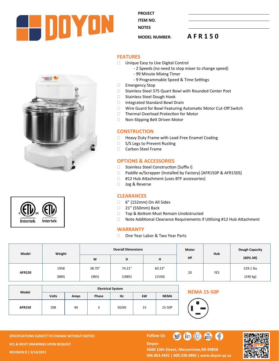

**PROJECT ITEM NO.** 

**NOTES** 

# **MODEL NUMBER: A F R 1 5 0**





#### **FEATURES**

- Unique Easy to Use Digital Control
	- 2 Speeds (no need to stop mixer to change speed)
	- 99 Minute Mixing Timer
	- 9 Programmable Speed & Time Settings
- Emergency Stop
- □ Stainless Steel 375 Quart Bowl with Rounded Center Post
- □ Stainless Steel Dough Hook
- □ Integrated Standard Bowl Drain
- □ Wire Guard for Bowl Featuring Automatic Motor Cut-Off Switch
- □ Thermal Overload Protection for Motor
- □ Non-Slipping Belt Driven Motor

#### **CONSTRUCTION**

- □ Heavy Duty Frame with Lead-Free Enamel Coating
- □ S/S Legs to Prevent Rusting
- □ Carbon Steel Frame

#### **OPTIONS & ACCESSORIES**

- □ Stainless Steel Construction [Suffix I]
- □ Paddle w/Scrapper (Installed by Factory) [AFR150P & AFR150S]
- □ #12 Hub Attachment (uses BTF accessories)
- □ Jog & Reverse

#### **CLEARANCES**

- □ 6" (152mm) On All Sides
- □ 21" (550mm) Back
- □ Top & Bottom Must Remain Unobstructed
- □ Note Additional Clearance Requirements if Utilizing #12 Hub Attachment

#### **WARRANTY**

□ One Year Labor & Two Year Parts

| Model         | Weight | <b>Overall Dimensions</b> |        |                     | Motor | Hub | Dough Capacity |
|---------------|--------|---------------------------|--------|---------------------|-------|-----|----------------|
|               |        | W                         | D      | $\blacksquare$<br>п | HP    |     | (60% AR)       |
| <b>AFR150</b> | 1958   | 38.70"                    | 74.21" | 60.23"              | 20    | YES | 529.1 lbs      |
|               | (889)  | (983)                     | (1885) | (1530)              |       |     | (240 kg)       |

|               | <b>Electrical System</b> |      |       |       |    |             |  |  |
|---------------|--------------------------|------|-------|-------|----|-------------|--|--|
| Model         | <b>Volts</b>             | Amps | Phase | Hz    | kW | <b>NEMA</b> |  |  |
| <b>AFR150</b> | 208                      | 40   | 3     | 50/60 | 15 | 15-50P      |  |  |

### **NEMA 15-50P**



**SPECIFICATIONS SUBJECT TO CHANGE WITHOUT NOTICE FOLLOW US KCL & REVIT DRAWINGS UPON REQUEST REVISION B | 5/14/2021**

#### **Doyon** 5600 13th Street, Menominee, MI 49858 **906.863.4401 | 800.338.9886 | [www.doyon.qc.ca](http://www.doyon.qc.ca/)**

**m** 0